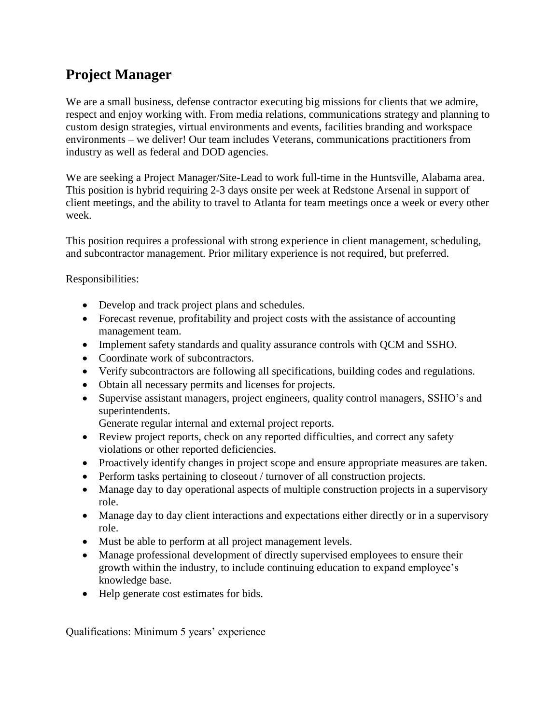## **Project Manager**

We are a small business, defense contractor executing big missions for clients that we admire, respect and enjoy working with. From media relations, communications strategy and planning to custom design strategies, virtual environments and events, facilities branding and workspace environments – we deliver! Our team includes Veterans, communications practitioners from industry as well as federal and DOD agencies.

We are seeking a Project Manager/Site-Lead to work full-time in the Huntsville, Alabama area. This position is hybrid requiring 2-3 days onsite per week at Redstone Arsenal in support of client meetings, and the ability to travel to Atlanta for team meetings once a week or every other week.

This position requires a professional with strong experience in client management, scheduling, and subcontractor management. Prior military experience is not required, but preferred.

Responsibilities:

- Develop and track project plans and schedules.
- Forecast revenue, profitability and project costs with the assistance of accounting management team.
- Implement safety standards and quality assurance controls with QCM and SSHO.
- Coordinate work of subcontractors.
- Verify subcontractors are following all specifications, building codes and regulations.
- Obtain all necessary permits and licenses for projects.
- Supervise assistant managers, project engineers, quality control managers, SSHO's and superintendents.

Generate regular internal and external project reports.

- Review project reports, check on any reported difficulties, and correct any safety violations or other reported deficiencies.
- Proactively identify changes in project scope and ensure appropriate measures are taken.
- Perform tasks pertaining to closeout / turnover of all construction projects.
- Manage day to day operational aspects of multiple construction projects in a supervisory role.
- Manage day to day client interactions and expectations either directly or in a supervisory role.
- Must be able to perform at all project management levels.
- Manage professional development of directly supervised employees to ensure their growth within the industry, to include continuing education to expand employee's knowledge base.
- Help generate cost estimates for bids.

Qualifications: Minimum 5 years' experience